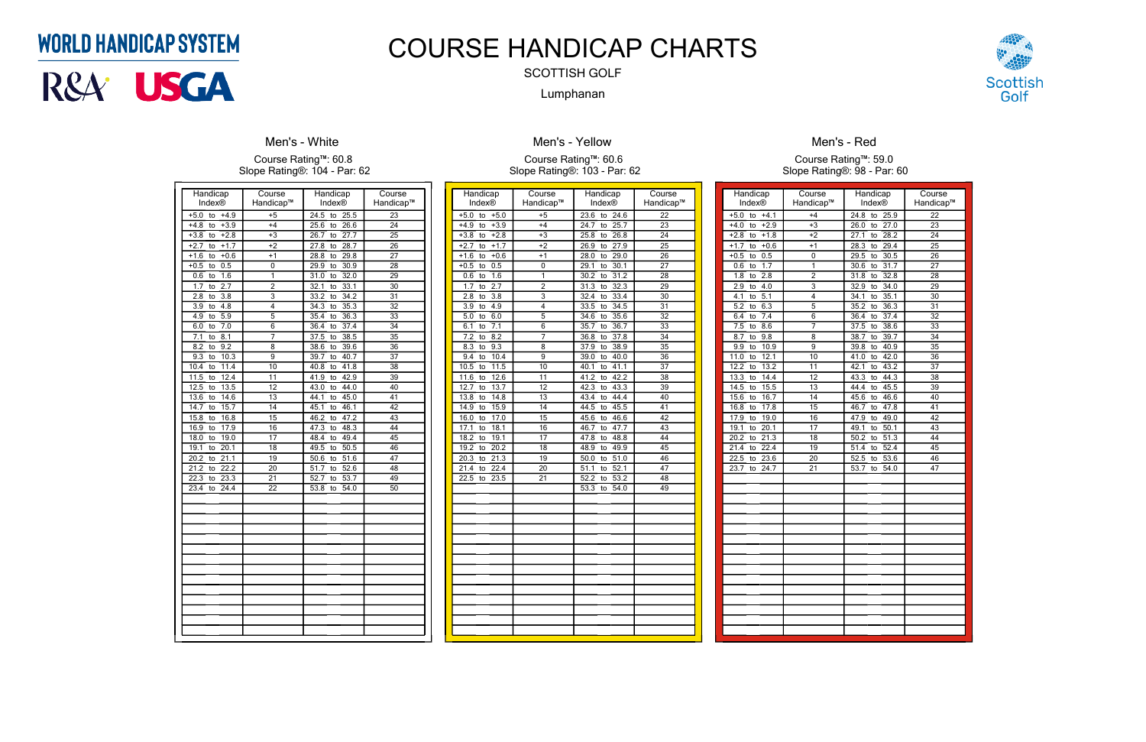| Handicap<br><b>Index®</b>       | Course<br>Handicap™ | Handicap<br><b>Index®</b>       | Course<br>Handicap™ |
|---------------------------------|---------------------|---------------------------------|---------------------|
| $+4.9$<br>$+5.0$<br>to          | $+5$                | $\overline{24.5}$<br>25.5<br>to | $\overline{23}$     |
| $+3.9$<br>$+4.8$<br>to          | $+4$                | 26.6<br>25.6<br>to              | 24                  |
| $+2.8$<br>$+3.8$<br>to          | $+3$                | 26.7<br>27.7<br>to              | $\overline{25}$     |
| $+1.7$<br>$+2.7$<br>to          | $+2$                | 28.7<br>27.8<br>to              | $\overline{26}$     |
| $+1.6$<br>$+0.6$<br>to          | $+1$                | 28.8<br>29.8<br>to              | $\overline{27}$     |
| 0.5<br>$+0.5$<br>to             | 0                   | 29.9<br>30.9<br>to              | 28                  |
| 1.6<br>0.6<br>to                | 1                   | 32.0<br>31.0<br>to              | 29                  |
| $\overline{2.7}$<br>1.7<br>to   | $\overline{c}$      | 33.1<br>32.1<br>to              | 30                  |
| $\overline{3.8}$<br>2.8<br>to   | $\overline{3}$      | 33.2<br>34.2<br>to              | $\overline{31}$     |
| 4.8<br>3.9<br>to                | 4                   | 35.3<br>34.3<br>to              | $\overline{32}$     |
| $\overline{5.9}$<br>4.9<br>to   | 5                   | 36.3<br>35.4<br>to              | 33                  |
| 7.0<br>6.0<br>to                | 6                   | 37.4<br>36.4<br>to              | 34                  |
| 7.1<br>8.1<br>to                | 7                   | 38.5<br>37.5<br>to              | 35                  |
| 9.2<br>8.2<br>to                | 8                   | 39.6<br>38.6<br>to              | 36                  |
| 9.3<br>10.3<br>to               | $\overline{9}$      | 40.7<br>39.7<br>to              | $\overline{37}$     |
| $\overline{11.4}$<br>10.4<br>to | $\overline{10}$     | 41.8<br>40.8<br>to              | $\overline{38}$     |
| 11.5<br>12.4<br>to              | 11                  | 41.9<br>42.9<br>to              | 39                  |
| 12.5<br>13.5<br>to              | 12                  | 43.0<br>44.0<br>to              | 40                  |
| 13.6<br>14.6<br>to              | 13                  | 45.0<br>44.1<br>to              | 41                  |
| 14.7<br>15.7<br>to              | 14                  | 46.1<br>45.1<br>to              | 42                  |
| 16.8<br>15.8<br>to              | $\overline{15}$     | 46.2<br>47.2<br>to              | $\overline{43}$     |
| 17.9<br>16.9<br>to              | $\overline{16}$     | 47.3<br>48.3<br>to              | 44                  |
| 19.0<br>18.0<br>to              | $\overline{17}$     | 49.4<br>48.4<br>to              | $\overline{45}$     |
| 20.1<br>19.1<br>to              | 18                  | 49.5<br>50.5<br>to              | 46                  |
| 20.2<br>21.1<br>to              | 19                  | 51.6<br>50.6<br>to              | $\overline{47}$     |
| 22.2<br>21.2<br>to              | 20                  | $\overline{51.7}$<br>52.6<br>to | 48                  |
| 22.3<br>23.3<br>to              | $\overline{21}$     | 53.7<br>52.7<br>to              | 49                  |
| 24.4<br>23.4<br>to              | $\overline{22}$     | 53.8<br>54.0<br>to              | $\overline{50}$     |
|                                 |                     |                                 |                     |
|                                 |                     |                                 |                     |
|                                 |                     |                                 |                     |
|                                 |                     |                                 |                     |
|                                 |                     |                                 |                     |
|                                 |                     |                                 |                     |
|                                 |                     |                                 |                     |
|                                 |                     |                                 |                     |
|                                 |                     |                                 |                     |
|                                 |                     |                                 |                     |
|                                 |                     |                                 |                     |
|                                 |                     |                                 |                     |
|                                 |                     |                                 |                     |
|                                 |                     |                                 |                     |

## **Men's - White**

Course Rating™: 60.8 Slope Rating®: 104 - Par: 62

| Handicap                                   | Course          | Handicap                        | Course          |
|--------------------------------------------|-----------------|---------------------------------|-----------------|
| <b>Index®</b>                              | Handicap™       | Index®                          | Handicap™       |
| $+5.0$<br>to<br>$+5.0$                     | $+5$            | 23.6<br>to<br>24.6              | 22              |
| $+3.9$<br>$+4.9$<br>to                     | $+4$            | 25.7<br>24.7<br>to              | $\overline{23}$ |
| $+3.8$<br>$+2.8$<br>to                     | $+3$            | 25.8<br>26.8<br>to              | 24              |
| $+2.7$<br>$+1.7$<br>to                     | $+2$            | 27.9<br>26.9<br>to              | $\overline{25}$ |
| $+1.6$<br>$+0.6$<br>to                     | $+1$            | 29.0<br>28.0<br>to              | $\overline{26}$ |
| 0.5<br>$+0.5$<br>to                        | 0               | 29.1<br>30.1<br>to              | $\overline{27}$ |
| 1.6<br>0.6<br>to                           | 1               | 30.2<br>31.2<br>to              | $\overline{28}$ |
| 2.7<br>1.7<br>to                           | $\overline{2}$  | 32.3<br>31.3<br>to              | 29              |
| $\overline{2.8}$<br>$\overline{3.8}$<br>to | 3               | 32.4<br>33.4<br>to              | 30              |
| 3.9<br>4.9<br>to                           | 4               | 34.5<br>33.5<br>to              | $\overline{31}$ |
| 6.0<br>5.0<br>to                           | 5               | 35.6<br>34.6<br>to              | $\overline{32}$ |
| 7.1<br>6.1<br>to                           | 6               | 35.7<br>36.7<br>to              | 33              |
| 8.2<br>7.2<br>to                           | 7               | 37.8<br>36.8<br>to              | 34              |
| 9.3<br>8.3<br>to                           | 8               | 38.9<br>37.9<br>to              | $\overline{35}$ |
| 9.4<br>10.4<br>to                          | 9               | 39.0<br>40.0<br>to              | $\overline{36}$ |
| 10.5<br>11.5<br>to                         | 10              | 41.1<br>40.1<br>to              | 37              |
| 12.6<br>11.6<br>to                         | 11              | 41.2<br>42.2<br>to              | $\overline{38}$ |
| 12.7<br>13.7<br>to                         | 12              | 42.3<br>43.3<br>to              | 39              |
| 13.8<br>14.8<br>to                         | 13              | 43.4<br>44.4<br>to              | 40              |
| 14.9<br>15.9<br>to                         | 14              | 45.5<br>44.5<br>to              | 41              |
| 16.0<br>17.0<br>to                         | 15              | 45.6<br>46.6<br>to              | $\overline{42}$ |
| 17.1<br>18.1<br>to                         | 16              | 47.7<br>46.7<br>to              | $\overline{43}$ |
| 18.2<br>19.1<br>to                         | 17              | 48.8<br>47.8<br>to              | 44              |
| 20.2<br>19.2<br>to                         | 18              | 48.9<br>49.9<br>to              | 45              |
| 20.3<br>21.3<br>to                         | $\overline{19}$ | 50.0<br>51.0<br>to              | $\overline{46}$ |
| 22.4<br>21.4<br>to                         | 20              | 52.1<br>$\overline{51.1}$<br>to | 47              |
| 22.5<br>23.5<br>to                         | 21              | 52.2<br>53.2<br>to              | 48              |
|                                            |                 | 53.3<br>54.0<br>to              | 49              |
|                                            |                 |                                 |                 |
|                                            |                 |                                 |                 |
|                                            |                 |                                 |                 |
|                                            |                 |                                 |                 |
|                                            |                 |                                 |                 |
|                                            |                 |                                 |                 |
|                                            |                 |                                 |                 |
|                                            |                 |                                 |                 |
|                                            |                 |                                 |                 |
|                                            |                 |                                 |                 |
|                                            |                 |                                 |                 |
|                                            |                 |                                 |                 |
|                                            |                 |                                 |                 |
|                                            |                 |                                 |                 |

### **Men's - Yellow**

#### Course Rating™: 60.6 Slope Rating®: 103 - Par: 62

| Handicap                      | Course          | Handicap           | Course          |
|-------------------------------|-----------------|--------------------|-----------------|
| Index®                        | Handicap™       | Index®             | Handicap™       |
| $+4.1$<br>$+5.0$<br>to        | $+4$            | 24.8<br>25.9<br>to | 22              |
| $+2.9$<br>$+4.0$<br>to        | $\overline{+3}$ | 26.0<br>27.0<br>to | $\overline{23}$ |
| $+1.8$<br>$+2.8$ to           | $+2$            | 28.2<br>27.1<br>to | $\overline{24}$ |
| $+1.7$<br>$+0.6$<br>to        | $+1$            | 28.3<br>29.4<br>to | 25              |
| 0.5<br>$+0.5$<br>to           | 0               | 29.5<br>30.5<br>to | 26              |
| 1.7<br>0.6<br>to              | 1               | 31.7<br>30.6<br>to | $\overline{27}$ |
| 1.8<br>$\overline{2.8}$<br>to | $\overline{2}$  | 31.8<br>32.8<br>to | $\overline{28}$ |
| 4.0<br>2.9<br>to              | $\overline{3}$  | 32.9<br>34.0<br>to | $\overline{29}$ |
| 5.1<br>4.1<br>to              | 4               | 34.1<br>35.1<br>to | 30              |
| 5.2<br>6.3<br>to              | 5               | 35.2<br>36.3<br>to | $\overline{31}$ |
| 7.4<br>6.4<br>to              | 6               | 37.4<br>36.4<br>to | 32              |
| 7.5<br>8.6<br>to              | 7               | 37.5<br>38.6<br>to | 33              |
| 9.8<br>8.7<br>to              | 8               | 38.7<br>39.7<br>to | $\overline{34}$ |
| 10.9<br>9.9<br>to             | 9               | 39.8<br>40.9<br>to | 35              |
| 12.1<br>11.0<br>to            | 10              | 42.0<br>41.0<br>to | $\overline{36}$ |
| 13.2<br>12.2<br>to            | 11              | 43.2<br>42.1<br>to | 37              |
| 13.3<br>14.4<br>to            | 12              | 43.3<br>44.3<br>to | $\overline{38}$ |
| 14.5<br>15.5<br>to            | 13              | 44.4<br>45.5<br>to | 39              |
| 16.7<br>15.6<br>to            | 14              | 45.6<br>46.6<br>to | 40              |
| 17.8<br>16.8<br>to            | $\overline{15}$ | 47.8<br>46.7<br>to | $\overline{41}$ |
| 17.9 to<br>19.0               | 16              | 47.9<br>to 49.0    | $\overline{42}$ |
| 20.1<br>19.1<br>to            | 17              | 50.1<br>49.1<br>to | 43              |
| 20.2<br>21.3<br>to            | 18              | 50.2<br>51.3<br>to | 44              |
| 21.4<br>22.4<br>to            | 19              | 51.4<br>52.4<br>to | 45              |
| 23.6<br>22.5<br>to            | 20              | 53.6<br>52.5<br>to | 46              |
| 23.7<br>24.7<br>to            | 21              | 53.7<br>54.0<br>to | 47              |
|                               |                 |                    |                 |
|                               |                 |                    |                 |
|                               |                 |                    |                 |
|                               |                 |                    |                 |
|                               |                 |                    |                 |
|                               |                 |                    |                 |
|                               |                 |                    |                 |
|                               |                 |                    |                 |
|                               |                 |                    |                 |
|                               |                 |                    |                 |
|                               |                 |                    |                 |
|                               |                 |                    |                 |
|                               |                 |                    |                 |
|                               |                 |                    |                 |
|                               |                 |                    |                 |
|                               |                 |                    |                 |
|                               |                 |                    |                 |



### Men's - Red

Course Rating™: 59.0 Slope Rating®: 98 - Par: 60

# **WORLD HANDICAP SYSTEM**



# COURSE HANDICAP CHARTS

# SCOTTISH GOLF

Lumphanan